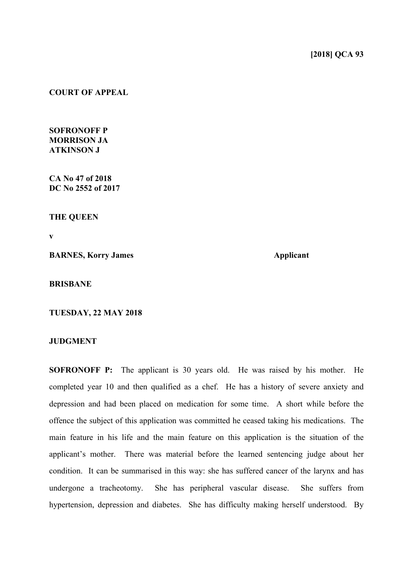## **COURT OF APPEAL**

**SOFRONOFF P MORRISON JA ATKINSON J**

**CA No 47 of 2018 DC No 2552 of 2017**

**THE QUEEN**

**v**

**BARNES, Korry James** Applicant

**BRISBANE**

**TUESDAY, 22 MAY 2018**

## **JUDGMENT**

**SOFRONOFF P:** The applicant is 30 years old. He was raised by his mother. He completed year 10 and then qualified as a chef. He has a history of severe anxiety and depression and had been placed on medication for some time. A short while before the offence the subject of this application was committed he ceased taking his medications. The main feature in his life and the main feature on this application is the situation of the applicant's mother. There was material before the learned sentencing judge about her condition. It can be summarised in this way: she has suffered cancer of the larynx and has undergone a tracheotomy. She has peripheral vascular disease. She suffers from hypertension, depression and diabetes. She has difficulty making herself understood. By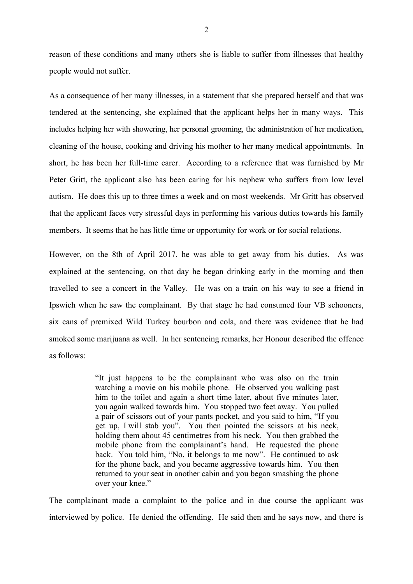reason of these conditions and many others she is liable to suffer from illnesses that healthy people would not suffer.

As a consequence of her many illnesses, in a statement that she prepared herself and that was tendered at the sentencing, she explained that the applicant helps her in many ways. This includes helping her with showering, her personal grooming, the administration of her medication, cleaning of the house, cooking and driving his mother to her many medical appointments. In short, he has been her full-time carer. According to a reference that was furnished by Mr Peter Gritt, the applicant also has been caring for his nephew who suffers from low level autism. He does this up to three times a week and on most weekends. Mr Gritt has observed that the applicant faces very stressful days in performing his various duties towards his family members. It seems that he has little time or opportunity for work or for social relations.

However, on the 8th of April 2017, he was able to get away from his duties. As was explained at the sentencing, on that day he began drinking early in the morning and then travelled to see a concert in the Valley. He was on a train on his way to see a friend in Ipswich when he saw the complainant. By that stage he had consumed four VB schooners, six cans of premixed Wild Turkey bourbon and cola, and there was evidence that he had smoked some marijuana as well. In her sentencing remarks, her Honour described the offence as follows:

> "It just happens to be the complainant who was also on the train watching a movie on his mobile phone. He observed you walking past him to the toilet and again a short time later, about five minutes later, you again walked towards him. You stopped two feet away. You pulled a pair of scissors out of your pants pocket, and you said to him, "If you get up, I will stab you". You then pointed the scissors at his neck, holding them about 45 centimetres from his neck. You then grabbed the mobile phone from the complainant's hand. He requested the phone back. You told him, "No, it belongs to me now". He continued to ask for the phone back, and you became aggressive towards him. You then returned to your seat in another cabin and you began smashing the phone over your knee."

The complainant made a complaint to the police and in due course the applicant was interviewed by police. He denied the offending. He said then and he says now, and there is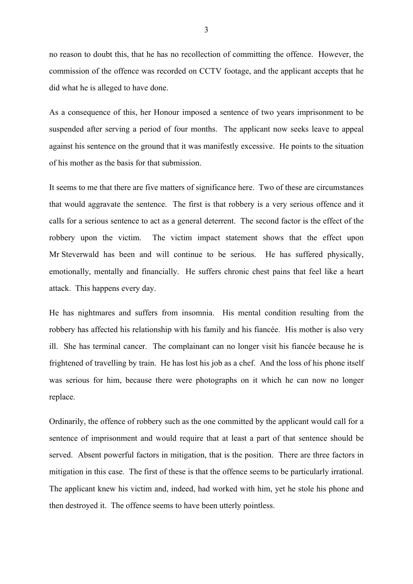no reason to doubt this, that he has no recollection of committing the offence. However, the commission of the offence was recorded on CCTV footage, and the applicant accepts that he did what he is alleged to have done.

As a consequence of this, her Honour imposed a sentence of two years imprisonment to be suspended after serving a period of four months. The applicant now seeks leave to appeal against his sentence on the ground that it was manifestly excessive. He points to the situation of his mother as the basis for that submission.

It seems to me that there are five matters of significance here. Two of these are circumstances that would aggravate the sentence. The first is that robbery is a very serious offence and it calls for a serious sentence to act as a general deterrent. The second factor is the effect of the robbery upon the victim. The victim impact statement shows that the effect upon Mr Steverwald has been and will continue to be serious. He has suffered physically, emotionally, mentally and financially. He suffers chronic chest pains that feel like a heart attack. This happens every day.

He has nightmares and suffers from insomnia. His mental condition resulting from the robbery has affected his relationship with his family and his fiancée. His mother is also very ill. She has terminal cancer. The complainant can no longer visit his fiancée because he is frightened of travelling by train. He has lost his job as a chef. And the loss of his phone itself was serious for him, because there were photographs on it which he can now no longer replace.

Ordinarily, the offence of robbery such as the one committed by the applicant would call for a sentence of imprisonment and would require that at least a part of that sentence should be served. Absent powerful factors in mitigation, that is the position. There are three factors in mitigation in this case. The first of these is that the offence seems to be particularly irrational. The applicant knew his victim and, indeed, had worked with him, yet he stole his phone and then destroyed it. The offence seems to have been utterly pointless.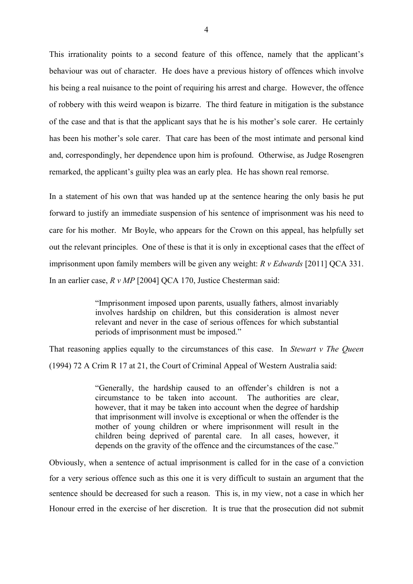This irrationality points to a second feature of this offence, namely that the applicant's behaviour was out of character. He does have a previous history of offences which involve his being a real nuisance to the point of requiring his arrest and charge. However, the offence of robbery with this weird weapon is bizarre. The third feature in mitigation is the substance of the case and that is that the applicant says that he is his mother's sole carer. He certainly has been his mother's sole carer. That care has been of the most intimate and personal kind and, correspondingly, her dependence upon him is profound. Otherwise, as Judge Rosengren remarked, the applicant's guilty plea was an early plea. He has shown real remorse.

In a statement of his own that was handed up at the sentence hearing the only basis he put forward to justify an immediate suspension of his sentence of imprisonment was his need to care for his mother. Mr Boyle, who appears for the Crown on this appeal, has helpfully set out the relevant principles. One of these is that it is only in exceptional cases that the effect of imprisonment upon family members will be given any weight: *R v Edwards* [2011] QCA 331. In an earlier case, *R v MP* [2004] QCA 170, Justice Chesterman said:

> "Imprisonment imposed upon parents, usually fathers, almost invariably involves hardship on children, but this consideration is almost never relevant and never in the case of serious offences for which substantial periods of imprisonment must be imposed."

That reasoning applies equally to the circumstances of this case. In *Stewart v The Queen* (1994) 72 A Crim R 17 at 21, the Court of Criminal Appeal of Western Australia said:

> "Generally, the hardship caused to an offender's children is not a circumstance to be taken into account. The authorities are clear, however, that it may be taken into account when the degree of hardship that imprisonment will involve is exceptional or when the offender is the mother of young children or where imprisonment will result in the children being deprived of parental care. In all cases, however, it depends on the gravity of the offence and the circumstances of the case."

Obviously, when a sentence of actual imprisonment is called for in the case of a conviction for a very serious offence such as this one it is very difficult to sustain an argument that the sentence should be decreased for such a reason. This is, in my view, not a case in which her Honour erred in the exercise of her discretion. It is true that the prosecution did not submit